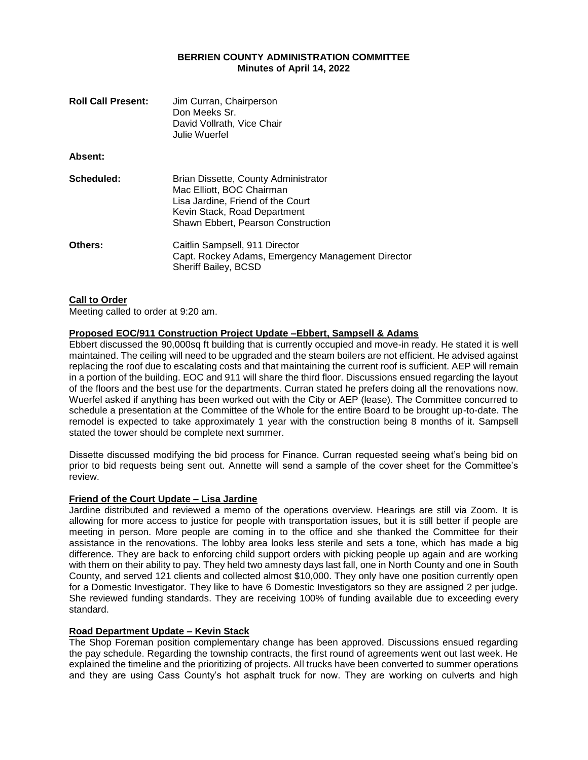#### **BERRIEN COUNTY ADMINISTRATION COMMITTEE Minutes of April 14, 2022**

| <b>Roll Call Present:</b> | Jim Curran, Chairperson<br>Don Meeks Sr.<br>David Vollrath, Vice Chair<br>Julie Wuerfel                                                                                      |
|---------------------------|------------------------------------------------------------------------------------------------------------------------------------------------------------------------------|
| <b>Absent:</b>            |                                                                                                                                                                              |
| Scheduled:                | Brian Dissette, County Administrator<br>Mac Elliott, BOC Chairman<br>Lisa Jardine, Friend of the Court<br>Kevin Stack, Road Department<br>Shawn Ebbert, Pearson Construction |
| <b>Others:</b>            | Caitlin Sampsell, 911 Director<br>Capt. Rockey Adams, Emergency Management Director<br>Sheriff Bailey, BCSD                                                                  |

#### **Call to Order**

Meeting called to order at 9:20 am.

# **Proposed EOC/911 Construction Project Update –Ebbert, Sampsell & Adams**

Ebbert discussed the 90,000sq ft building that is currently occupied and move-in ready. He stated it is well maintained. The ceiling will need to be upgraded and the steam boilers are not efficient. He advised against replacing the roof due to escalating costs and that maintaining the current roof is sufficient. AEP will remain in a portion of the building. EOC and 911 will share the third floor. Discussions ensued regarding the layout of the floors and the best use for the departments. Curran stated he prefers doing all the renovations now. Wuerfel asked if anything has been worked out with the City or AEP (lease). The Committee concurred to schedule a presentation at the Committee of the Whole for the entire Board to be brought up-to-date. The remodel is expected to take approximately 1 year with the construction being 8 months of it. Sampsell stated the tower should be complete next summer.

Dissette discussed modifying the bid process for Finance. Curran requested seeing what's being bid on prior to bid requests being sent out. Annette will send a sample of the cover sheet for the Committee's review.

#### **Friend of the Court Update – Lisa Jardine**

Jardine distributed and reviewed a memo of the operations overview. Hearings are still via Zoom. It is allowing for more access to justice for people with transportation issues, but it is still better if people are meeting in person. More people are coming in to the office and she thanked the Committee for their assistance in the renovations. The lobby area looks less sterile and sets a tone, which has made a big difference. They are back to enforcing child support orders with picking people up again and are working with them on their ability to pay. They held two amnesty days last fall, one in North County and one in South County, and served 121 clients and collected almost \$10,000. They only have one position currently open for a Domestic Investigator. They like to have 6 Domestic Investigators so they are assigned 2 per judge. She reviewed funding standards. They are receiving 100% of funding available due to exceeding every standard.

#### **Road Department Update – Kevin Stack**

The Shop Foreman position complementary change has been approved. Discussions ensued regarding the pay schedule. Regarding the township contracts, the first round of agreements went out last week. He explained the timeline and the prioritizing of projects. All trucks have been converted to summer operations and they are using Cass County's hot asphalt truck for now. They are working on culverts and high